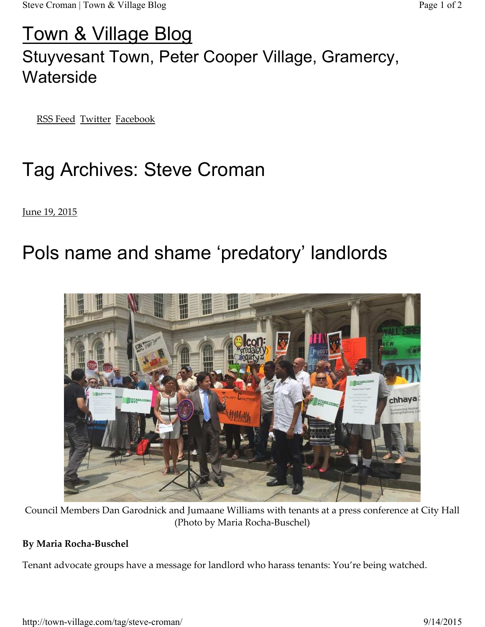### Town & Village Blog

## Stuyvesant Town, Peter Cooper Village, Gramercy, **Waterside**

RSS Feed Twitter Facebook

# Tag Archives: Steve Croman

June 19, 2015

# Pols name and shame 'predatory' landlords



Council Members Dan Garodnick and Jumaane Williams with tenants at a press conference at City Hall (Photo by Maria Rocha-Buschel)

#### **By Maria Rocha-Buschel**

Tenant advocate groups have a message for landlord who harass tenants: You're being watched.